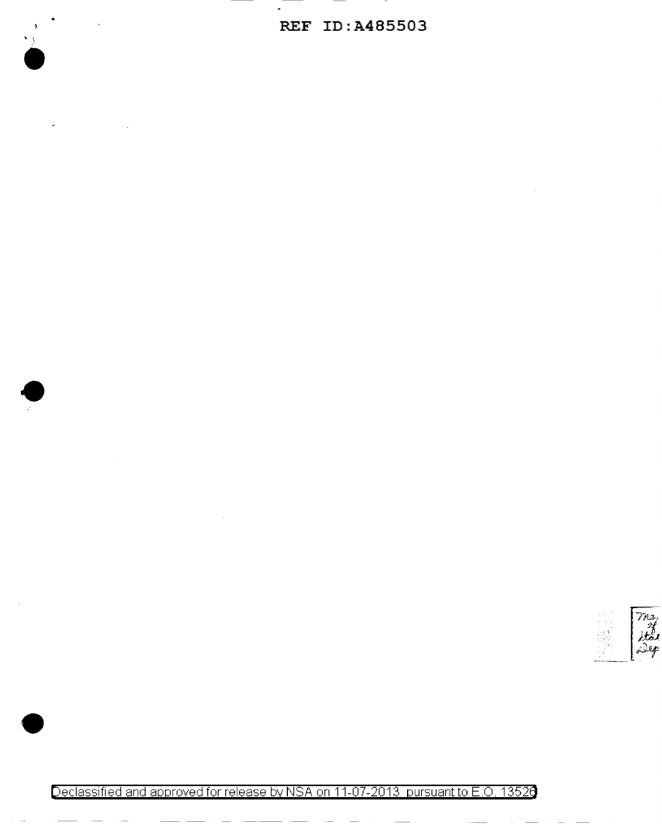

Declassified and approved for release **by** NSA on 11-07-2013 pursuant to E .0. 1352a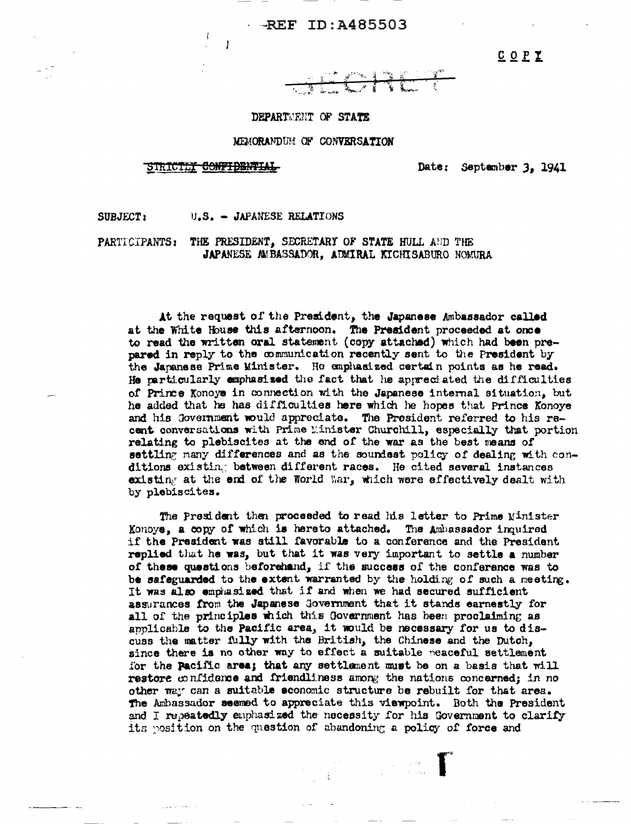## REF ID: A485503

 $C$   $O$   $P$   $I$ 

## DEPARTMENT OF STATE

#### MEMORANDUM OF CONVERSATION

# STRICTLY CONFIDENTIAL

Date: September 3. 1941

U.S. - JAPANESE RELATIONS SUBJECT:

 $\mathbf{f}$ 

THE PRESIDENT, SECRETARY OF STATE HULL AND THE PARTICIPANTS: JAPANESE AMBASSADOR, ADMIRAL KICHISABURO NOMURA

At the request of the President, the Japanese Ambassador called at the White House this afternoon. The President proceeded at once to read the written oral statement (copy attached) which had been prepared in reply to the communication recently sent to the President by the Japanese Prime Minister. He emphasized certain points as he read. He particularly emphasized the fact that he appreciated the difficulties of Prince Konoye in connection with the Japanese internal situation, but he added that he has difficulties here which he hopes that Prince Konoye and his Government would appreciate. The President referred to his recent conversations with Prime Minister Churchill, especially that portion relating to plebiscites at the end of the war as the best means of settling many differences and as the soundest policy of dealing with conditions existing between different races. He cited several instances existing at the end of the World War, which were effectively dealt with by plebiscites.

The President then proceeded to read his letter to Prime Minister Konoye, a copy of which is hereto attached. The Ambassador inquired if the President was still favorable to a conference and the President replied that he was, but that it was very important to settle a number of these questions beforehand, if the success of the conference was to be safeguarded to the extent warranted by the holding of such a meeting. It was also emphasized that if and when we had secured sufficient assurances from the Japanese Government that it stands earnestly for all of the principles which this Government has been proclaiming as applicable to the Pacific area, it would be necessary for us to discuss the matter fully with the British, the Chinese and the Dutch, since there is no other way to effect a suitable peaceful settlement for the Pacific area; that any settlement must be on a basis that will restore confidence and friendliness among the nations concerned; in no other way can a suitable economic structure be rebuilt for that area. The Ambassador seemed to appreciate this viewpoint. Both the President and I repeatedly emphasized the necessity for his Government to clarify its position on the question of abandoning a policy of force and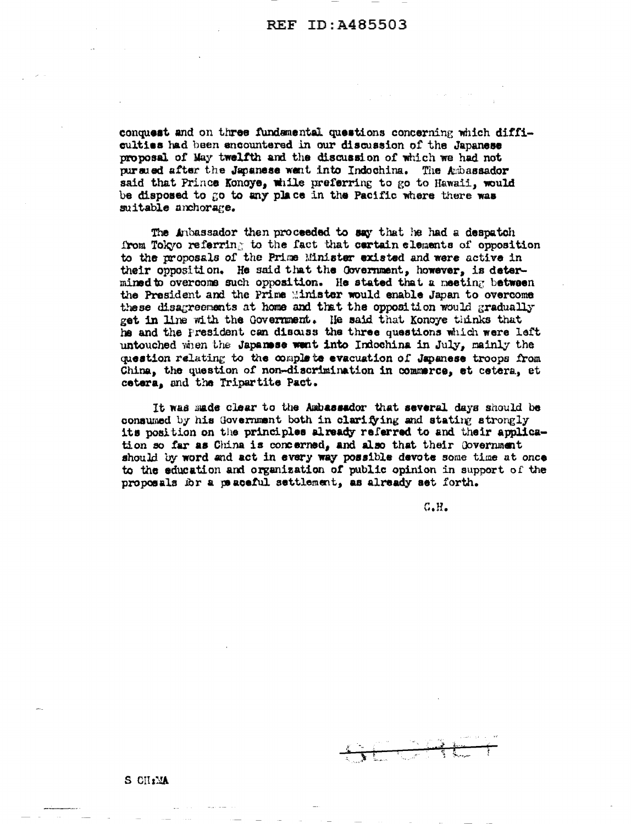conquest and on three fundamental questions concerning which difficulties had been encountered in our discussion of the Japanese proposal of May twelfth and the discussion of which we had not pursued after the Japanese went into Indochina. The Ambassador said that Prince Konoye, while preferring to go to Hawaii, would be disposed to go to any place in the Pacific where there was suitable anchorage.

The Anbassador then proceeded to say that he had a despatch from Tokyo referring to the fact that certain elements of opposition to the proposals of the Prime Minister existed and were active in their opposition. He said that the Government, however, is determined to overcome such opposition. He stated that a meeting between the President and the Prime Minister would enable Japan to overcome these disagreements at home and that the opposition would gradually get in line with the Government. He said that Konoye thinks that he and the President can discuss the three questions which were left untouched when the Japanese went into Indochina in July, mainly the question relating to the complete evacuation of Japanese troops from China, the question of non-discrimination in commerce, et cetera, et cetera, and the Tripartite Pact.

It was made clear to the Ambassador that several days should be consumed by his Government both in clarifying and stating strongly its position on the principles already referred to and their application so far as China is concerned, and also that their Government should by word and act in every way possible devote some time at once to the education and organization of public opinion in support of the proposals for a peaceful settlement, as already set forth.

 $C.H.$ 

$$
\mathbf{S} \sqcup \mathbb{C} \overset{\text{def}}{=}
$$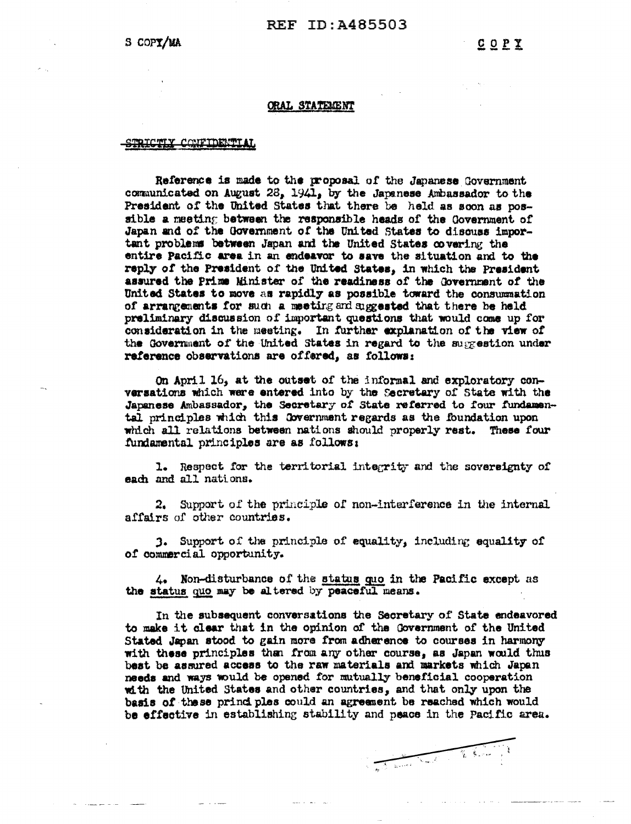# **REF ID:A485503**

S COPY/MA

 $\mathbf{r} = \mathbf{r}$  and  $\mathbf{r} = \mathbf{r}$ 

 $C$   $O$   $P$   $T$ 

### ORAL STATEMENT

#### STRICTLY CONFIDENTIAL

Reference is made to the proposal of the Japanese Government communicated on August 28, 1941, by the Japanese Ambassador to the President of the United States that there be held as soon as possible a meeting between the responsible heads of the Government of Japan and of the Government of the United States to discuss important problems between Japan and the United States covering the entire Pacific area in an endeavor to save the situation and to the reply of the President of the United States, in which the President assured the Prime Minister of the readiness of the Government of the United States to move as rapidly as possible toward the consummation of arrangements for such a meeting and apgested that there be held preliminary discussion of important questions that would come up for consideration in the meeting. In further explanation of the view of the Government of the United States in regard to the suggestion under reference observations are offered, as follows:

On April 16, at the outset of the informal and exploratory conversations which were entered into by the Secretary of State with the Japanese Ambassador, the Secretary of State referred to four fundamental principles which this Government regards as the foundation upon which all relations between nations should properly rest. These four fundamental principles are as follows:

1. Respect for the territorial integrity and the sovereignty of each and all nations.

2. Support of the principle of non-interference in the internal affairs of other countries.

3. Support of the principle of equality, including equality of of commercial opportunity.

4. Non-disturbance of the status quo in the Pacific except as the status quo may be altered by peaceful means.

In the subsequent conversations the Secretary of State endeavored to make it clear that in the opinion of the Government of the United Stated Japan stood to gain more from adherence to courses in harmony with these principles than from any other course, as Japan would thus best be assured access to the raw materials and markets which Japan needs and ways would be opened for mutually beneficial cooperation with the United States and other countries, and that only upon the basis of these principles could an agreement be reached which would be effective in establishing stability and peace in the Pacific area.

STATISTICS IN THE PARTY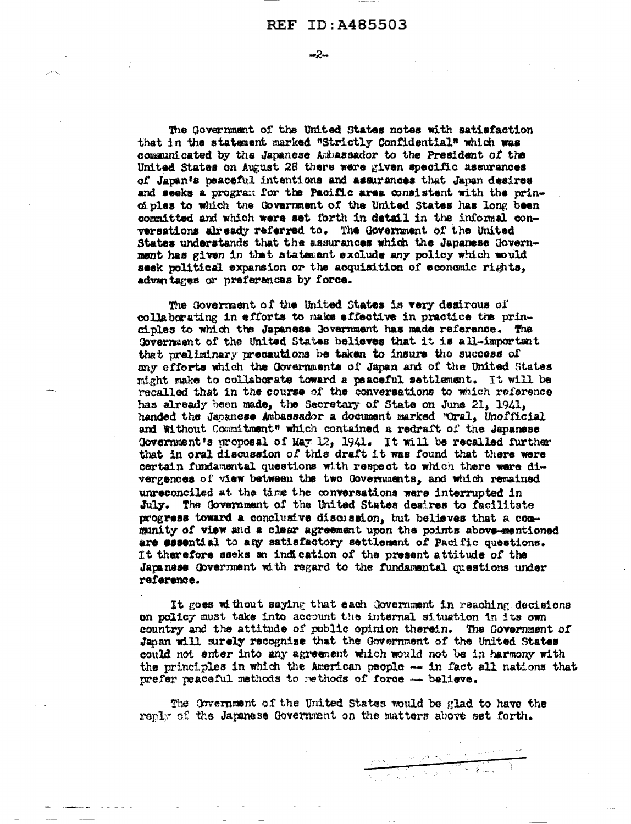The Government of the United States notes with satisfaction that in the statement marked "Strictly Confidential" which was communicated by the Japanese Ambassador to the President of the United States on August 28 there were given specific assurances of Japan's peaceful intentions and assurances that Japan desires and seeks a program for the Pacific area consistent with the principles to which the Government of the United States has long been committed and which were set forth in detail in the informal conversations already referred to. The Government of the United States understands that the assurances which the Japanese Government has given in that statement exclude any policy which would seek political expansion or the acquisition of economic rights, advantages or preferences by force.

The Government of the United States is very desirous of collaborating in efforts to make effective in practice the principles to which the Japanese Government has made reference. The Government of the United States believes that it is all-important that preliminary precautions be taken to insure the success of any efforts which the Governments of Japan and of the United States might make to collaborate toward a peaceful settlement. It will be recalled that in the course of the conversations to which reference has already been made, the Secretary of State on June 21, 1941, handed the Japanese Ambassador a document marked "Oral, Unofficial and Without Commitment" which contained a redraft of the Japanese Government's proposal of May 12, 1941. It will be recalled further that in oral discussion of this draft it was found that there were certain fundamental questions with respect to which there were divergences of view between the two Governments, and which remained unreconciled at the time the conversations were interrupted in July. The Government of the United States desires to facilitate progress toward a conclusive discussion, but believes that a community of view and a clear agreement upon the points above-mentioned are essential to any satisfactory settlement of Pacific questions. It therefore seeks an indication of the present attitude of the Japanese Government with regard to the fundamental questions under reference.

It goes without saying that each Government in reaching decisions on policy must take into account the internal situation in its own country and the attitude of public opinion therein. The Government of Japan will surely recognize that the Government of the United States could not enter into any agreement which would not be in harmony with the principles in which the American people - in fact all nations that prefer peaceful methods to methods of force - believe.

The Government of the United States would be glad to have the reply of the Japanese Government on the matters above set forth.